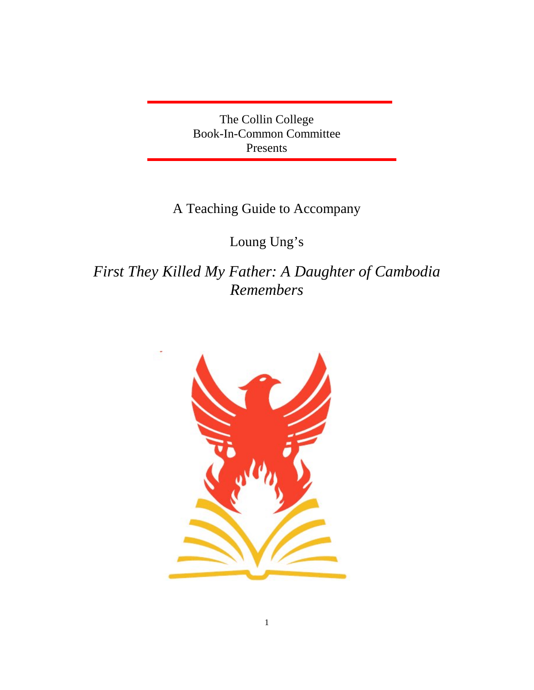The Collin College Book-In-Common Committee Presents

## A Teaching Guide to Accompany

## Loung Ung's

*First They Killed My Father: A Daughter of Cambodia Remembers* 

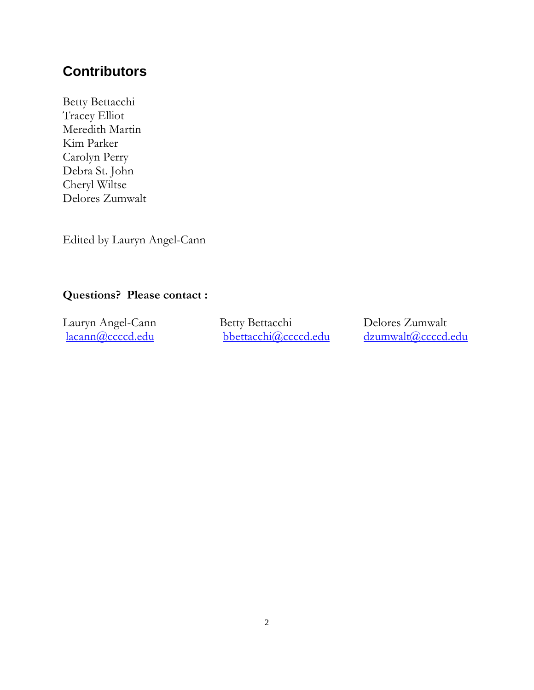## **Contributors**

Betty Bettacchi Tracey Elliot Meredith Martin Kim Parker Carolyn Perry Debra St. John Cheryl Wiltse Delores Zumwalt

Edited by Lauryn Angel-Cann

### Questions? Please contact :

bbettacchi@ccccd.edu

Lauryn Angel-Cann Betty Bettacchi Delores Zumwalt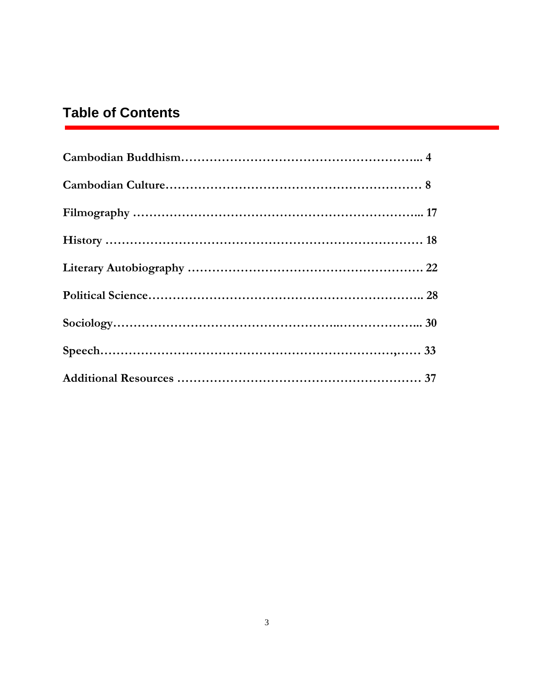# **Table of Contents**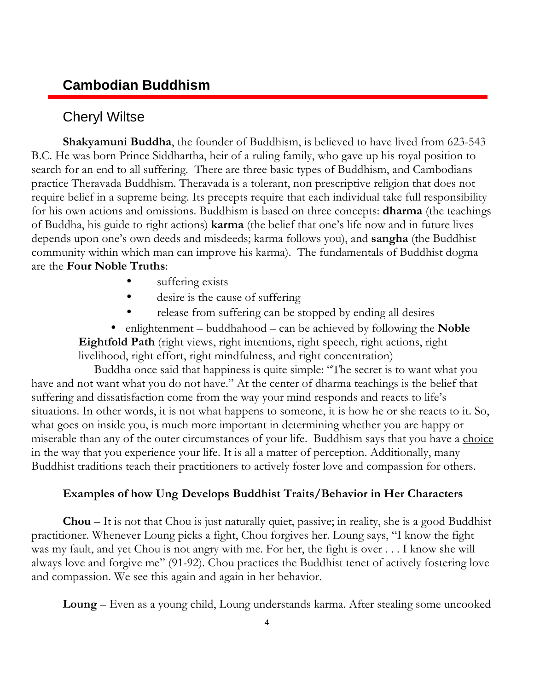## **Cambodian Buddhism**

### Cheryl Wiltse

Shakyamuni Buddha, the founder of Buddhism, is believed to have lived from 623-543 B.C. He was born Prince Siddhartha, heir of a ruling family, who gave up his royal position to search for an end to all suffering. There are three basic types of Buddhism, and Cambodians practice Theravada Buddhism. Theravada is a tolerant, non prescriptive religion that does not require belief in a supreme being. Its precepts require that each individual take full responsibility for his own actions and omissions. Buddhism is based on three concepts: **dharma** (the teachings of Buddha, his guide to right actions) karma (the belief that one's life now and in future lives depends upon one's own deeds and misdeeds; karma follows you), and **sangha** (the Buddhist community within which man can improve his karma). The fundamentals of Buddhist dogma are the Four Noble Truths:

- suffering exists
- desire is the cause of suffering
- release from suffering can be stopped by ending all desires

• enlightenment – buddhahood – can be achieved by following the **Noble** Eightfold Path (right views, right intentions, right speech, right actions, right livelihood, right effort, right mindfulness, and right concentration)

 Buddha once said that happiness is quite simple: "The secret is to want what you have and not want what you do not have." At the center of dharma teachings is the belief that suffering and dissatisfaction come from the way your mind responds and reacts to life's situations. In other words, it is not what happens to someone, it is how he or she reacts to it. So, what goes on inside you, is much more important in determining whether you are happy or miserable than any of the outer circumstances of your life. Buddhism says that you have a choice in the way that you experience your life. It is all a matter of perception. Additionally, many Buddhist traditions teach their practitioners to actively foster love and compassion for others.

#### Examples of how Ung Develops Buddhist Traits/Behavior in Her Characters

Chou – It is not that Chou is just naturally quiet, passive; in reality, she is a good Buddhist practitioner. Whenever Loung picks a fight, Chou forgives her. Loung says, "I know the fight was my fault, and yet Chou is not angry with me. For her, the fight is over . . . I know she will always love and forgive me" (91-92). Chou practices the Buddhist tenet of actively fostering love and compassion. We see this again and again in her behavior.

Loung – Even as a young child, Loung understands karma. After stealing some uncooked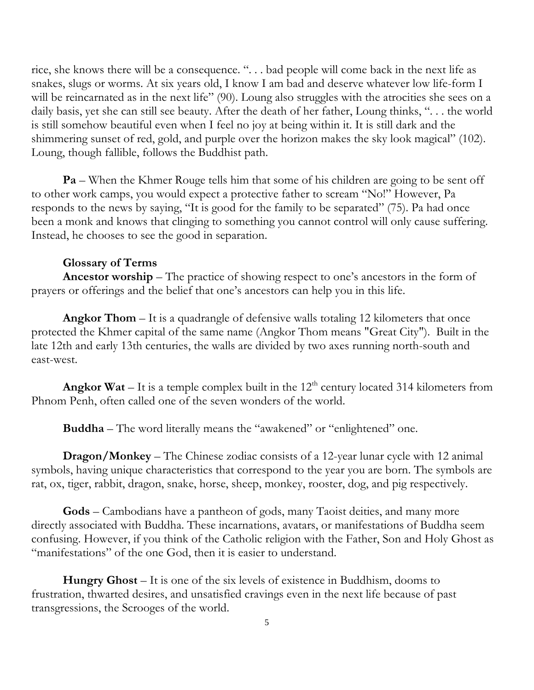rice, she knows there will be a consequence. ". . . bad people will come back in the next life as snakes, slugs or worms. At six years old, I know I am bad and deserve whatever low life-form I will be reincarnated as in the next life" (90). Loung also struggles with the atrocities she sees on a daily basis, yet she can still see beauty. After the death of her father, Loung thinks, ". . . the world is still somehow beautiful even when I feel no joy at being within it. It is still dark and the shimmering sunset of red, gold, and purple over the horizon makes the sky look magical" (102). Loung, though fallible, follows the Buddhist path.

**Pa** – When the Khmer Rouge tells him that some of his children are going to be sent off to other work camps, you would expect a protective father to scream "No!" However, Pa responds to the news by saying, "It is good for the family to be separated" (75). Pa had once been a monk and knows that clinging to something you cannot control will only cause suffering. Instead, he chooses to see the good in separation.

#### Glossary of Terms

Ancestor worship – The practice of showing respect to one's ancestors in the form of prayers or offerings and the belief that one's ancestors can help you in this life.

Angkor Thom – It is a quadrangle of defensive walls totaling 12 kilometers that once protected the Khmer capital of the same name (Angkor Thom means "Great City"). Built in the late 12th and early 13th centuries, the walls are divided by two axes running north-south and east-west.

Angkor Wat – It is a temple complex built in the  $12<sup>th</sup>$  century located 314 kilometers from Phnom Penh, often called one of the seven wonders of the world.

Buddha – The word literally means the "awakened" or "enlightened" one.

Dragon/Monkey – The Chinese zodiac consists of a 12-year lunar cycle with 12 animal symbols, having unique characteristics that correspond to the year you are born. The symbols are rat, ox, tiger, rabbit, dragon, snake, horse, sheep, monkey, rooster, dog, and pig respectively.

Gods – Cambodians have a pantheon of gods, many Taoist deities, and many more directly associated with Buddha. These incarnations, avatars, or manifestations of Buddha seem confusing. However, if you think of the Catholic religion with the Father, Son and Holy Ghost as "manifestations" of the one God, then it is easier to understand.

Hungry Ghost – It is one of the six levels of existence in Buddhism, dooms to frustration, thwarted desires, and unsatisfied cravings even in the next life because of past transgressions, the Scrooges of the world.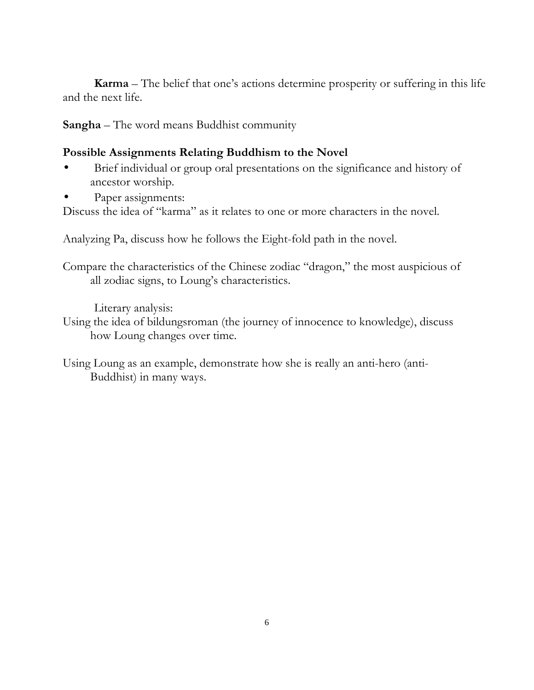Karma – The belief that one's actions determine prosperity or suffering in this life and the next life.

Sangha – The word means Buddhist community

### Possible Assignments Relating Buddhism to the Novel

- Brief individual or group oral presentations on the significance and history of ancestor worship.
- Paper assignments:

Discuss the idea of "karma" as it relates to one or more characters in the novel.

Analyzing Pa, discuss how he follows the Eight-fold path in the novel.

Compare the characteristics of the Chinese zodiac "dragon," the most auspicious of all zodiac signs, to Loung's characteristics.

Literary analysis:

Using the idea of bildungsroman (the journey of innocence to knowledge), discuss how Loung changes over time.

Using Loung as an example, demonstrate how she is really an anti-hero (anti-Buddhist) in many ways.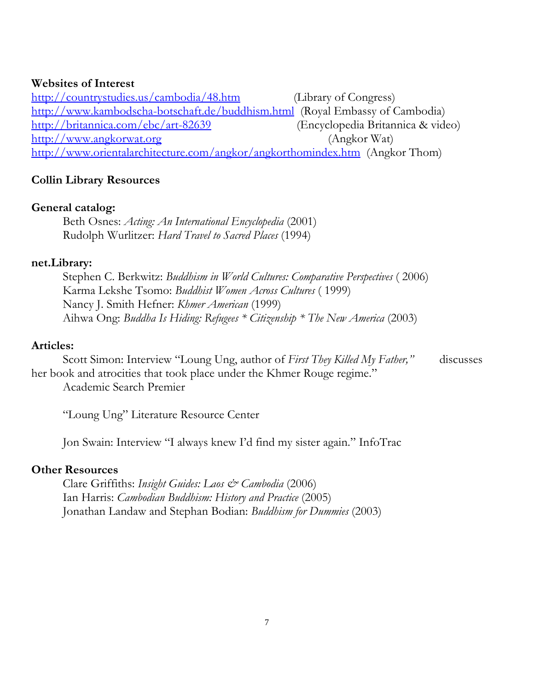#### Websites of Interest

http://countrystudies.us/cambodia/48.htm (Library of Congress) http://www.kambodscha-botschaft.de/buddhism.html (Royal Embassy of Cambodia) http://britannica.com/ebc/art-82639 (Encyclopedia Britannica & video) http://www.angkorwat.org (Angkor Wat) http://www.orientalarchitecture.com/angkor/angkorthomindex.htm (Angkor Thom)

### Collin Library Resources

#### General catalog:

Beth Osnes: Acting: An International Encyclopedia (2001) Rudolph Wurlitzer: Hard Travel to Sacred Places (1994)

#### net.Library:

Stephen C. Berkwitz: *Buddhism in World Cultures: Comparative Perspectives* (2006) Karma Lekshe Tsomo: Buddhist Women Across Cultures ( 1999) Nancy J. Smith Hefner: Khmer American (1999) Aihwa Ong: Buddha Is Hiding: Refugees \* Citizenship \* The New America (2003)

#### Articles:

Scott Simon: Interview "Loung Ung, author of First They Killed My Father," discusses her book and atrocities that took place under the Khmer Rouge regime."

Academic Search Premier

"Loung Ung" Literature Resource Center

Jon Swain: Interview "I always knew I'd find my sister again." InfoTrac

#### Other Resources

Clare Griffiths: Insight Guides: Laos & Cambodia (2006) Ian Harris: Cambodian Buddhism: History and Practice (2005) Jonathan Landaw and Stephan Bodian: Buddhism for Dummies (2003)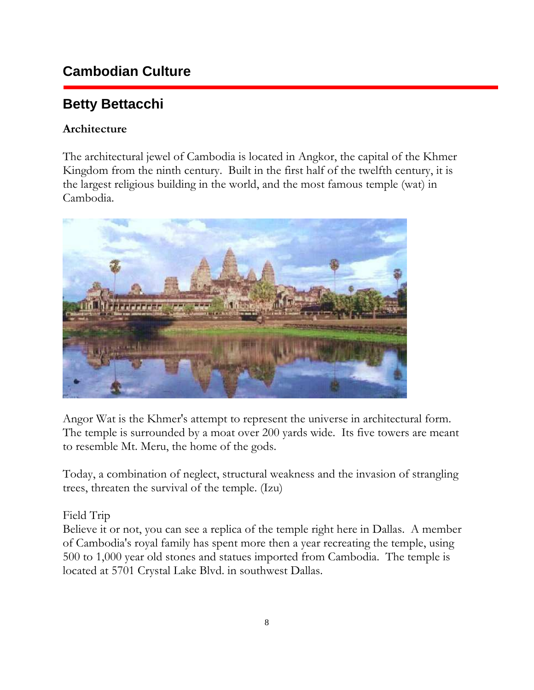## **Cambodian Culture**

# **Betty Bettacchi**

### Architecture

The architectural jewel of Cambodia is located in Angkor, the capital of the Khmer Kingdom from the ninth century. Built in the first half of the twelfth century, it is the largest religious building in the world, and the most famous temple (wat) in Cambodia.



Angor Wat is the Khmer's attempt to represent the universe in architectural form. The temple is surrounded by a moat over 200 yards wide. Its five towers are meant to resemble Mt. Meru, the home of the gods.

Today, a combination of neglect, structural weakness and the invasion of strangling trees, threaten the survival of the temple. (Izu)

### Field Trip

Believe it or not, you can see a replica of the temple right here in Dallas. A member of Cambodia's royal family has spent more then a year recreating the temple, using 500 to 1,000 year old stones and statues imported from Cambodia. The temple is located at 5701 Crystal Lake Blvd. in southwest Dallas.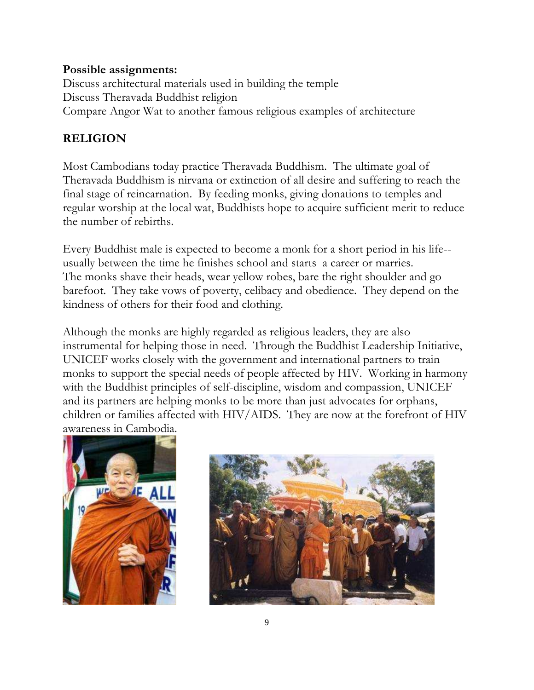#### Possible assignments:

Discuss architectural materials used in building the temple Discuss Theravada Buddhist religion Compare Angor Wat to another famous religious examples of architecture

### RELIGION

Most Cambodians today practice Theravada Buddhism. The ultimate goal of Theravada Buddhism is nirvana or extinction of all desire and suffering to reach the final stage of reincarnation. By feeding monks, giving donations to temples and regular worship at the local wat, Buddhists hope to acquire sufficient merit to reduce the number of rebirths.

Every Buddhist male is expected to become a monk for a short period in his life- usually between the time he finishes school and starts a career or marries. The monks shave their heads, wear yellow robes, bare the right shoulder and go barefoot. They take vows of poverty, celibacy and obedience. They depend on the kindness of others for their food and clothing.

Although the monks are highly regarded as religious leaders, they are also instrumental for helping those in need. Through the Buddhist Leadership Initiative, UNICEF works closely with the government and international partners to train monks to support the special needs of people affected by HIV. Working in harmony with the Buddhist principles of self-discipline, wisdom and compassion, UNICEF and its partners are helping monks to be more than just advocates for orphans, children or families affected with HIV/AIDS. They are now at the forefront of HIV awareness in Cambodia.



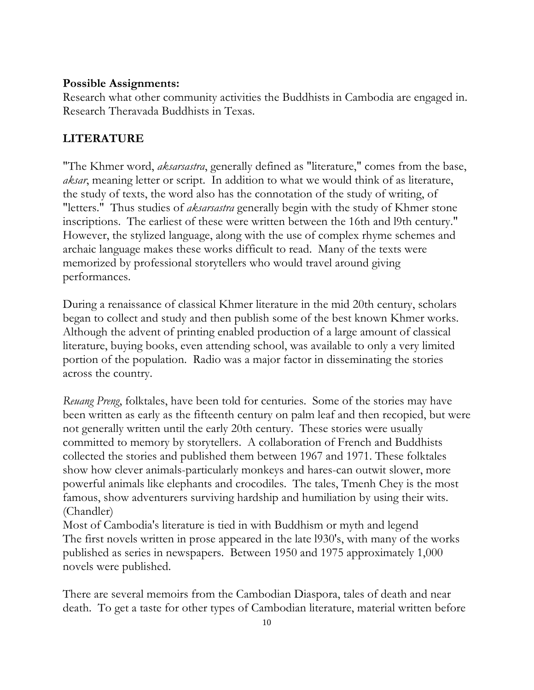#### Possible Assignments:

Research what other community activities the Buddhists in Cambodia are engaged in. Research Theravada Buddhists in Texas.

### LITERATURE

"The Khmer word, *aksarsastra*, generally defined as "literature," comes from the base, aksar, meaning letter or script. In addition to what we would think of as literature, the study of texts, the word also has the connotation of the study of writing, of "letters." Thus studies of aksarsastra generally begin with the study of Khmer stone inscriptions. The earliest of these were written between the 16th and l9th century." However, the stylized language, along with the use of complex rhyme schemes and archaic language makes these works difficult to read. Many of the texts were memorized by professional storytellers who would travel around giving performances.

During a renaissance of classical Khmer literature in the mid 20th century, scholars began to collect and study and then publish some of the best known Khmer works. Although the advent of printing enabled production of a large amount of classical literature, buying books, even attending school, was available to only a very limited portion of the population. Radio was a major factor in disseminating the stories across the country.

Reuang Preng, folktales, have been told for centuries. Some of the stories may have been written as early as the fifteenth century on palm leaf and then recopied, but were not generally written until the early 20th century. These stories were usually committed to memory by storytellers. A collaboration of French and Buddhists collected the stories and published them between 1967 and 1971. These folktales show how clever animals-particularly monkeys and hares-can outwit slower, more powerful animals like elephants and crocodiles. The tales, Tmenh Chey is the most famous, show adventurers surviving hardship and humiliation by using their wits. (Chandler)

Most of Cambodia's literature is tied in with Buddhism or myth and legend The first novels written in prose appeared in the late l930's, with many of the works published as series in newspapers. Between 1950 and 1975 approximately 1,000 novels were published.

There are several memoirs from the Cambodian Diaspora, tales of death and near death. To get a taste for other types of Cambodian literature, material written before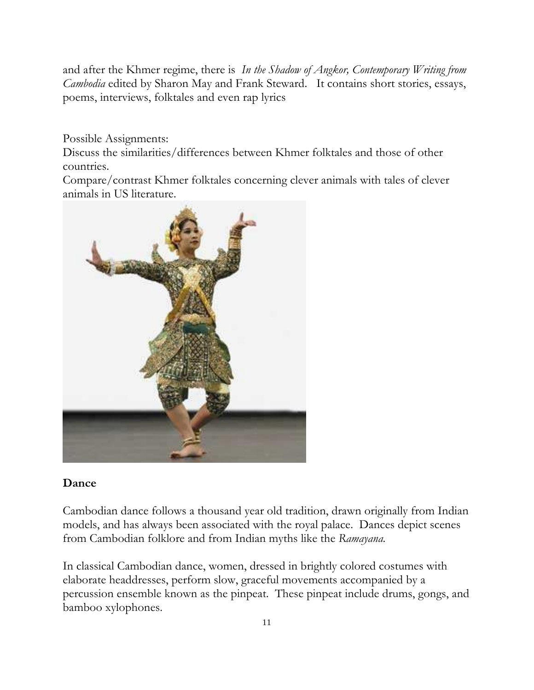and after the Khmer regime, there is In the Shadow of Angkor, Contemporary Writing from Cambodia edited by Sharon May and Frank Steward. It contains short stories, essays, poems, interviews, folktales and even rap lyrics

Possible Assignments:

Discuss the similarities/differences between Khmer folktales and those of other countries.

Compare/contrast Khmer folktales concerning clever animals with tales of clever animals in US literature.



### Dance

Cambodian dance follows a thousand year old tradition, drawn originally from Indian models, and has always been associated with the royal palace. Dances depict scenes from Cambodian folklore and from Indian myths like the Ramayana.

In classical Cambodian dance, women, dressed in brightly colored costumes with elaborate headdresses, perform slow, graceful movements accompanied by a percussion ensemble known as the pinpeat. These pinpeat include drums, gongs, and bamboo xylophones.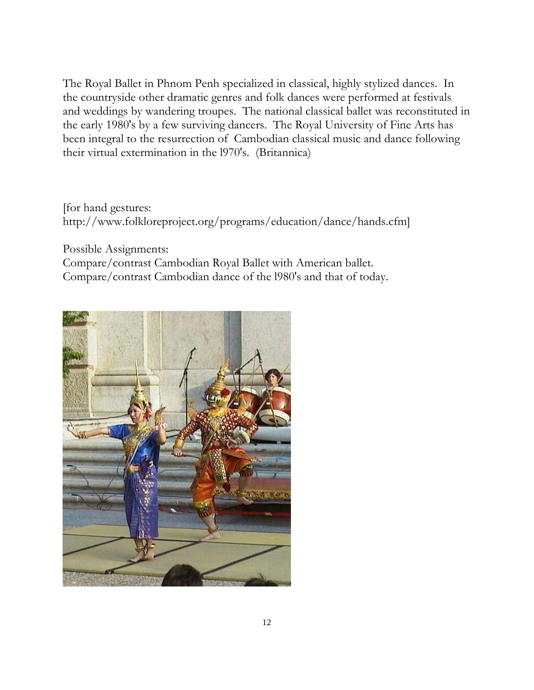The Royal Ballet in Phnom Penh specialized in classical, highly stylized dances. In the countryside other dramatic genres and folk dances were performed at festivals and weddings by wandering troupes. The national classical ballet was reconstituted in the early 1980's by a few surviving dancers. The Royal University of Fine Arts has been integral to the resurrection of Cambodian classical music and dance following their virtual extermination in the l970's. (Britannica)

### [for hand gestures: http://www.folkloreproject.org/programs/education/dance/hands.cfm]

Possible Assignments:

Compare/contrast Cambodian Royal Ballet with American ballet. Compare/contrast Cambodian dance of the l980's and that of today.

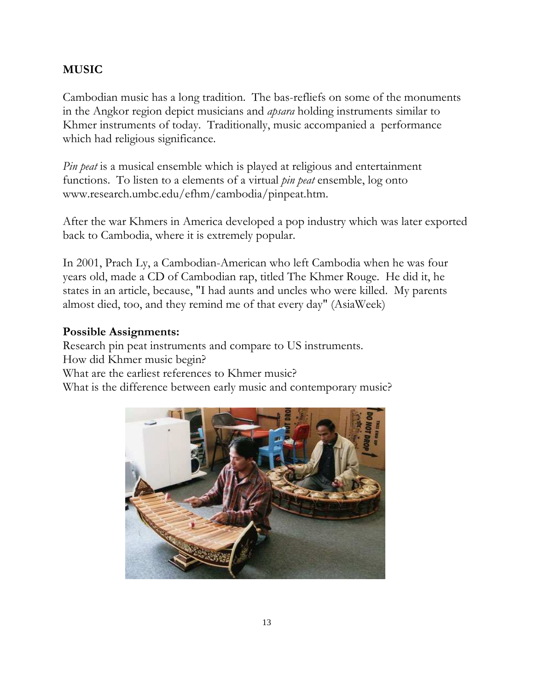### MUSIC

Cambodian music has a long tradition. The bas-refliefs on some of the monuments in the Angkor region depict musicians and *apsara* holding instruments similar to Khmer instruments of today. Traditionally, music accompanied a performance which had religious significance.

Pin peat is a musical ensemble which is played at religious and entertainment functions. To listen to a elements of a virtual *pin peat* ensemble, log onto www.research.umbc.edu/efhm/cambodia/pinpeat.htm.

After the war Khmers in America developed a pop industry which was later exported back to Cambodia, where it is extremely popular.

In 2001, Prach Ly, a Cambodian-American who left Cambodia when he was four years old, made a CD of Cambodian rap, titled The Khmer Rouge. He did it, he states in an article, because, "I had aunts and uncles who were killed. My parents almost died, too, and they remind me of that every day" (AsiaWeek)

### Possible Assignments:

Research pin peat instruments and compare to US instruments. How did Khmer music begin? What are the earliest references to Khmer music? What is the difference between early music and contemporary music?

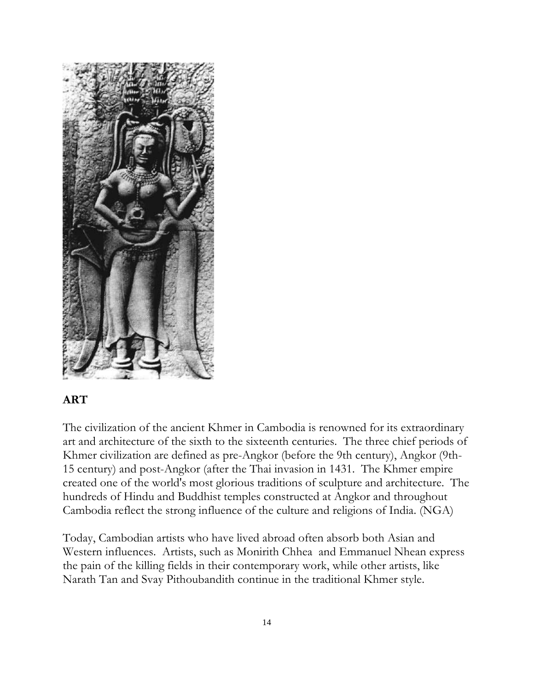

### ART

The civilization of the ancient Khmer in Cambodia is renowned for its extraordinary art and architecture of the sixth to the sixteenth centuries. The three chief periods of Khmer civilization are defined as pre-Angkor (before the 9th century), Angkor (9th-15 century) and post-Angkor (after the Thai invasion in 1431. The Khmer empire created one of the world's most glorious traditions of sculpture and architecture. The hundreds of Hindu and Buddhist temples constructed at Angkor and throughout Cambodia reflect the strong influence of the culture and religions of India. (NGA)

Today, Cambodian artists who have lived abroad often absorb both Asian and Western influences. Artists, such as Monirith Chhea and Emmanuel Nhean express the pain of the killing fields in their contemporary work, while other artists, like Narath Tan and Svay Pithoubandith continue in the traditional Khmer style.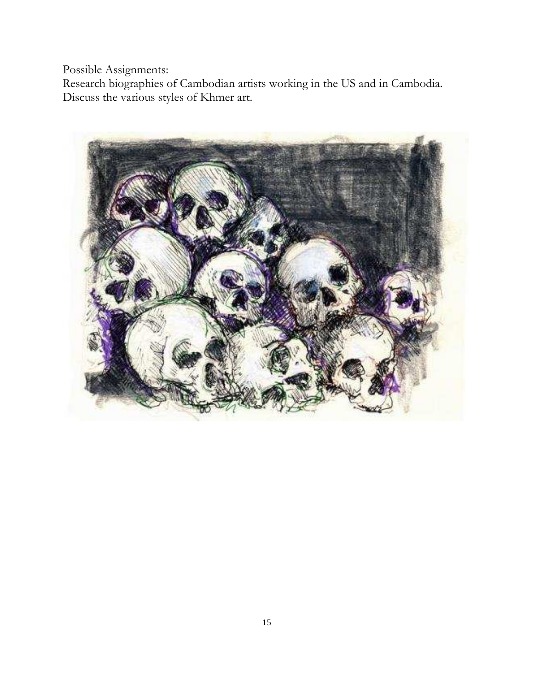Possible Assignments:

Research biographies of Cambodian artists working in the US and in Cambodia. Discuss the various styles of Khmer art.

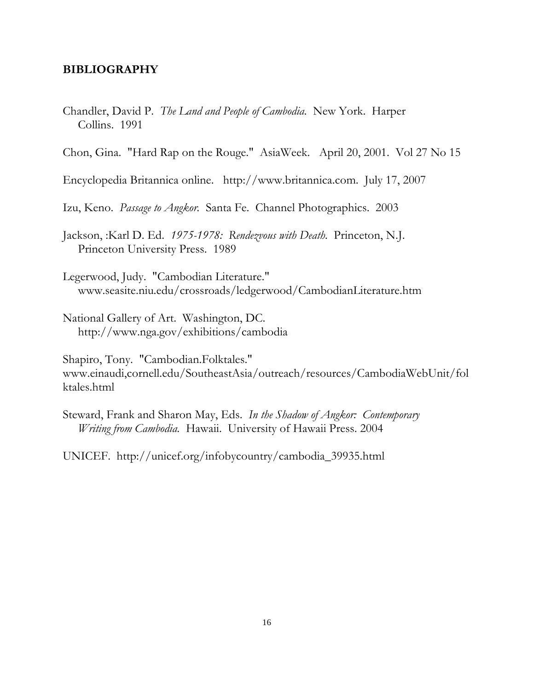#### BIBLIOGRAPHY

Chandler, David P. The Land and People of Cambodia. New York. Harper Collins. 1991

Chon, Gina. "Hard Rap on the Rouge." AsiaWeek. April 20, 2001. Vol 27 No 15

Encyclopedia Britannica online. http://www.britannica.com. July 17, 2007

Izu, Keno. Passage to Angkor. Santa Fe. Channel Photographics. 2003

Jackson, :Karl D. Ed. 1975-1978: Rendezvous with Death. Princeton, N.J. Princeton University Press. 1989

Legerwood, Judy. "Cambodian Literature." www.seasite.niu.edu/crossroads/ledgerwood/CambodianLiterature.htm

National Gallery of Art. Washington, DC. http://www.nga.gov/exhibitions/cambodia

Shapiro, Tony. "Cambodian.Folktales." www.einaudi,cornell.edu/SoutheastAsia/outreach/resources/CambodiaWebUnit/fol ktales.html

Steward, Frank and Sharon May, Eds. In the Shadow of Angkor: Contemporary Writing from Cambodia. Hawaii. University of Hawaii Press. 2004

UNICEF. http://unicef.org/infobycountry/cambodia\_39935.html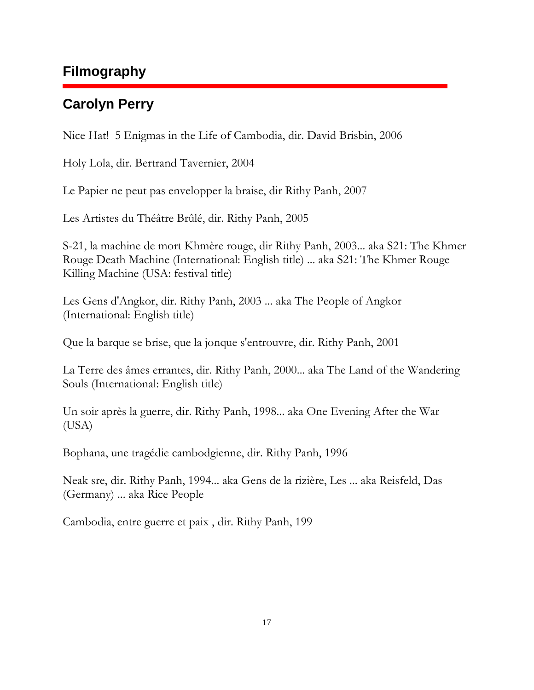## **Filmography**

## **Carolyn Perry**

Nice Hat! 5 Enigmas in the Life of Cambodia, dir. David Brisbin, 2006

Holy Lola, dir. Bertrand Tavernier, 2004

Le Papier ne peut pas envelopper la braise, dir Rithy Panh, 2007

Les Artistes du Théâtre Brûlé, dir. Rithy Panh, 2005

S-21, la machine de mort Khmère rouge, dir Rithy Panh, 2003... aka S21: The Khmer Rouge Death Machine (International: English title) ... aka S21: The Khmer Rouge Killing Machine (USA: festival title)

Les Gens d'Angkor, dir. Rithy Panh, 2003 ... aka The People of Angkor (International: English title)

Que la barque se brise, que la jonque s'entrouvre, dir. Rithy Panh, 2001

La Terre des âmes errantes, dir. Rithy Panh, 2000... aka The Land of the Wandering Souls (International: English title)

Un soir après la guerre, dir. Rithy Panh, 1998... aka One Evening After the War (USA)

Bophana, une tragédie cambodgienne, dir. Rithy Panh, 1996

Neak sre, dir. Rithy Panh, 1994... aka Gens de la rizière, Les ... aka Reisfeld, Das (Germany) ... aka Rice People

Cambodia, entre guerre et paix , dir. Rithy Panh, 199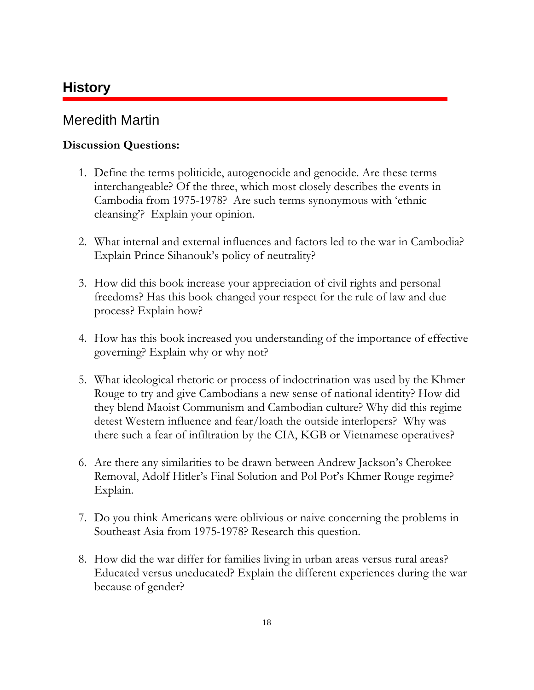## **History**

## Meredith Martin

### Discussion Questions:

- 1. Define the terms politicide, autogenocide and genocide. Are these terms interchangeable? Of the three, which most closely describes the events in Cambodia from 1975-1978? Are such terms synonymous with 'ethnic cleansing'? Explain your opinion.
- 2. What internal and external influences and factors led to the war in Cambodia? Explain Prince Sihanouk's policy of neutrality?
- 3. How did this book increase your appreciation of civil rights and personal freedoms? Has this book changed your respect for the rule of law and due process? Explain how?
- 4. How has this book increased you understanding of the importance of effective governing? Explain why or why not?
- 5. What ideological rhetoric or process of indoctrination was used by the Khmer Rouge to try and give Cambodians a new sense of national identity? How did they blend Maoist Communism and Cambodian culture? Why did this regime detest Western influence and fear/loath the outside interlopers? Why was there such a fear of infiltration by the CIA, KGB or Vietnamese operatives?
- 6. Are there any similarities to be drawn between Andrew Jackson's Cherokee Removal, Adolf Hitler's Final Solution and Pol Pot's Khmer Rouge regime? Explain.
- 7. Do you think Americans were oblivious or naive concerning the problems in Southeast Asia from 1975-1978? Research this question.
- 8. How did the war differ for families living in urban areas versus rural areas? Educated versus uneducated? Explain the different experiences during the war because of gender?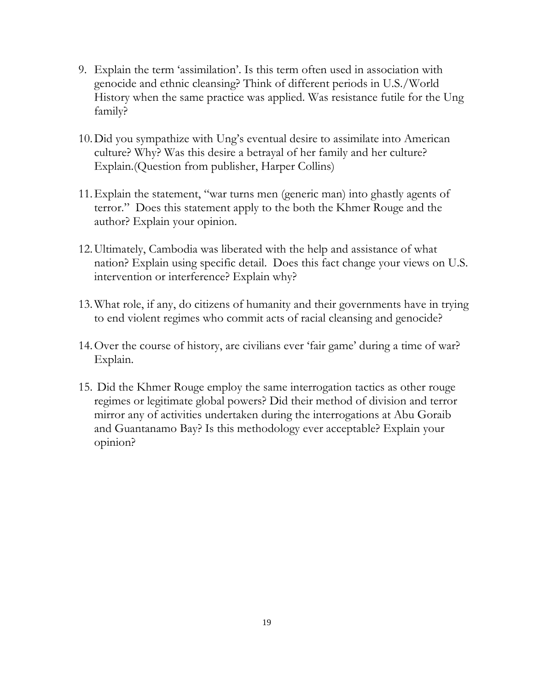- 9. Explain the term 'assimilation'. Is this term often used in association with genocide and ethnic cleansing? Think of different periods in U.S./World History when the same practice was applied. Was resistance futile for the Ung family?
- 10.Did you sympathize with Ung's eventual desire to assimilate into American culture? Why? Was this desire a betrayal of her family and her culture? Explain.(Question from publisher, Harper Collins)
- 11.Explain the statement, "war turns men (generic man) into ghastly agents of terror." Does this statement apply to the both the Khmer Rouge and the author? Explain your opinion.
- 12.Ultimately, Cambodia was liberated with the help and assistance of what nation? Explain using specific detail. Does this fact change your views on U.S. intervention or interference? Explain why?
- 13.What role, if any, do citizens of humanity and their governments have in trying to end violent regimes who commit acts of racial cleansing and genocide?
- 14.Over the course of history, are civilians ever 'fair game' during a time of war? Explain.
- 15. Did the Khmer Rouge employ the same interrogation tactics as other rouge regimes or legitimate global powers? Did their method of division and terror mirror any of activities undertaken during the interrogations at Abu Goraib and Guantanamo Bay? Is this methodology ever acceptable? Explain your opinion?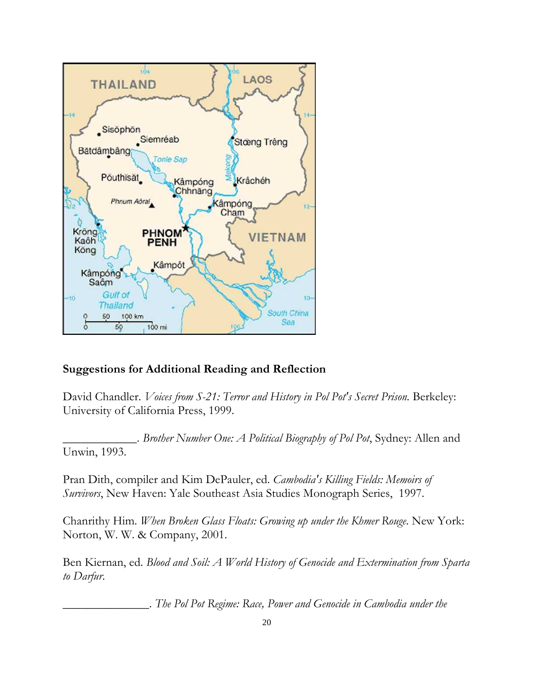

#### Suggestions for Additional Reading and Reflection

David Chandler. Voices from S-21: Terror and History in Pol Pot's Secret Prison. Berkeley: University of California Press, 1999.

 $\therefore$  Brother Number One: A Political Biography of Pol Pot, Sydney: Allen and Unwin, 1993.

Pran Dith, compiler and Kim DePauler, ed. Cambodia's Killing Fields: Memoirs of Survivors, New Haven: Yale Southeast Asia Studies Monograph Series, 1997.

Chanrithy Him. When Broken Glass Floats: Growing up under the Khmer Rouge. New York: Norton, W. W. & Company, 2001.

Ben Kiernan, ed. Blood and Soil: A World History of Genocide and Extermination from Sparta to Darfur.

The Pol Pot Regime: Race, Power and Genocide in Cambodia under the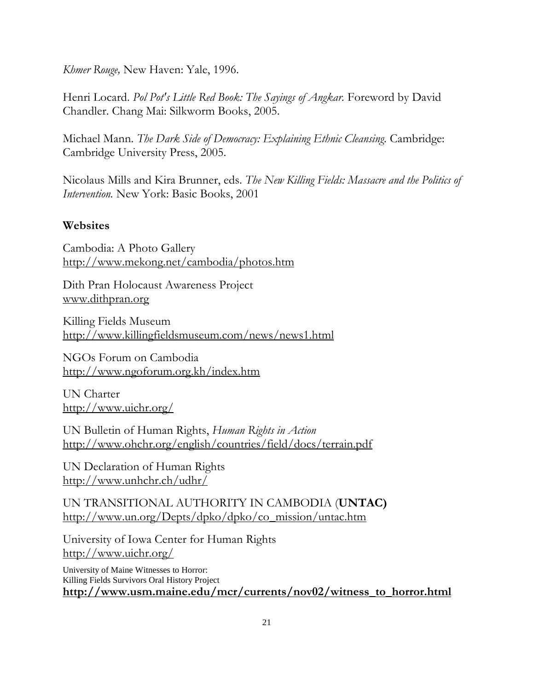Khmer Rouge, New Haven: Yale, 1996.

Henri Locard. Pol Pot's Little Red Book: The Sayings of Angkar. Foreword by David Chandler. Chang Mai: Silkworm Books, 2005.

Michael Mann. The Dark Side of Democracy: Explaining Ethnic Cleansing. Cambridge: Cambridge University Press, 2005.

Nicolaus Mills and Kira Brunner, eds. The New Killing Fields: Massacre and the Politics of Intervention. New York: Basic Books, 2001

### Websites

Cambodia: A Photo Gallery http://www.mekong.net/cambodia/photos.htm

Dith Pran Holocaust Awareness Project www.dithpran.org

Killing Fields Museum http://www.killingfieldsmuseum.com/news/news1.html

NGOs Forum on Cambodia http://www.ngoforum.org.kh/index.htm

UN Charter http://www.uichr.org/

UN Bulletin of Human Rights, Human Rights in Action http://www.ohchr.org/english/countries/field/docs/terrain.pdf

UN Declaration of Human Rights http://www.unhchr.ch/udhr/

UN TRANSITIONAL AUTHORITY IN CAMBODIA (UNTAC) http://www.un.org/Depts/dpko/dpko/co\_mission/untac.htm

University of Iowa Center for Human Rights http://www.uichr.org/

University of Maine Witnesses to Horror: Killing Fields Survivors Oral History Project http://www.usm.maine.edu/mcr/currents/nov02/witness\_to\_horror.html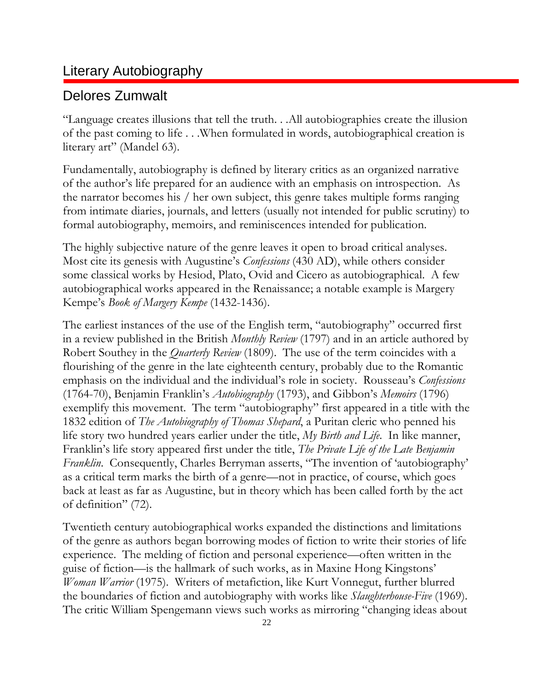## Literary Autobiography

## Delores Zumwalt

"Language creates illusions that tell the truth. . .All autobiographies create the illusion of the past coming to life . . .When formulated in words, autobiographical creation is literary art" (Mandel 63).

Fundamentally, autobiography is defined by literary critics as an organized narrative of the author's life prepared for an audience with an emphasis on introspection. As the narrator becomes his / her own subject, this genre takes multiple forms ranging from intimate diaries, journals, and letters (usually not intended for public scrutiny) to formal autobiography, memoirs, and reminiscences intended for publication.

The highly subjective nature of the genre leaves it open to broad critical analyses. Most cite its genesis with Augustine's Confessions (430 AD), while others consider some classical works by Hesiod, Plato, Ovid and Cicero as autobiographical. A few autobiographical works appeared in the Renaissance; a notable example is Margery Kempe's Book of Margery Kempe (1432-1436).

The earliest instances of the use of the English term, "autobiography" occurred first in a review published in the British *Monthly Review* (1797) and in an article authored by Robert Southey in the *Quarterly Review* (1809). The use of the term coincides with a flourishing of the genre in the late eighteenth century, probably due to the Romantic emphasis on the individual and the individual's role in society. Rousseau's Confessions (1764-70), Benjamin Franklin's Autobiography (1793), and Gibbon's Memoirs (1796) exemplify this movement. The term "autobiography" first appeared in a title with the 1832 edition of The Autobiography of Thomas Shepard, a Puritan cleric who penned his life story two hundred years earlier under the title, My Birth and Life. In like manner, Franklin's life story appeared first under the title, *The Private Life of the Late Benjamin* Franklin. Consequently, Charles Berryman asserts, "The invention of 'autobiography' as a critical term marks the birth of a genre—not in practice, of course, which goes back at least as far as Augustine, but in theory which has been called forth by the act of definition" (72).

Twentieth century autobiographical works expanded the distinctions and limitations of the genre as authors began borrowing modes of fiction to write their stories of life experience. The melding of fiction and personal experience—often written in the guise of fiction—is the hallmark of such works, as in Maxine Hong Kingstons' Woman Warrior (1975). Writers of metafiction, like Kurt Vonnegut, further blurred the boundaries of fiction and autobiography with works like Slaughterhouse-Five (1969). The critic William Spengemann views such works as mirroring "changing ideas about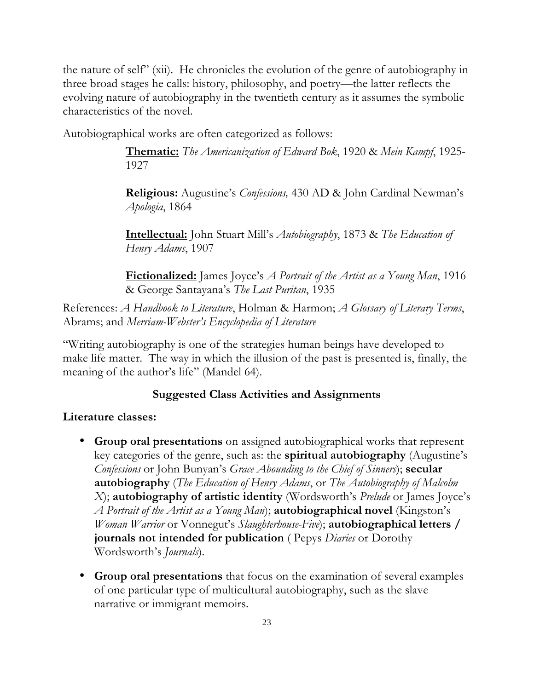the nature of self" (xii). He chronicles the evolution of the genre of autobiography in three broad stages he calls: history, philosophy, and poetry—the latter reflects the evolving nature of autobiography in the twentieth century as it assumes the symbolic characteristics of the novel.

Autobiographical works are often categorized as follows:

Thematic: The Americanization of Edward Bok, 1920 & Mein Kampf, 1925-1927

Religious: Augustine's *Confessions*, 430 AD & John Cardinal Newman's Apologia, 1864

**Intellectual:** John Stuart Mill's *Autobiography*, 1873 & The Education of Henry Adams, 1907

**Fictionalized:** James Joyce's *A Portrait of the Artist as a Young Man*, 1916 & George Santayana's The Last Puritan, 1935

References: A Handbook to Literature, Holman & Harmon; A Glossary of Literary Terms, Abrams; and Merriam-Webster's Encyclopedia of Literature

"Writing autobiography is one of the strategies human beings have developed to make life matter. The way in which the illusion of the past is presented is, finally, the meaning of the author's life" (Mandel 64).

#### Suggested Class Activities and Assignments

#### Literature classes:

- Group oral presentations on assigned autobiographical works that represent key categories of the genre, such as: the spiritual autobiography (Augustine's Confessions or John Bunyan's Grace Abounding to the Chief of Sinners); secular **autobiography** (The Education of Henry Adams, or The Autobiography of Malcolm X); autobiography of artistic identity (Wordsworth's *Prelude* or James Joyce's A Portrait of the Artist as a Young Man); **autobiographical novel** (Kingston's Woman Warrior or Vonnegut's Slaughterhouse-Five); **autobiographical letters** / journals not intended for publication (Pepys Diaries or Dorothy Wordsworth's Journals).
- Group oral presentations that focus on the examination of several examples of one particular type of multicultural autobiography, such as the slave narrative or immigrant memoirs.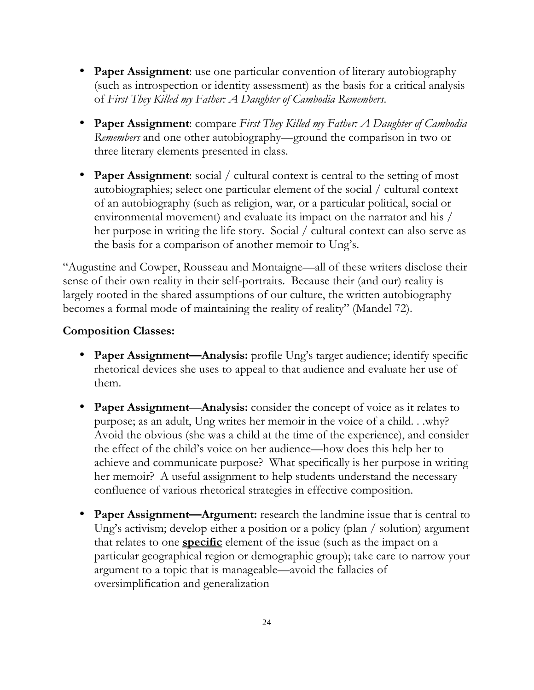- Paper Assignment: use one particular convention of literary autobiography (such as introspection or identity assessment) as the basis for a critical analysis of First They Killed my Father: A Daughter of Cambodia Remembers.
- Paper Assignment: compare First They Killed my Father: A Daughter of Cambodia Remembers and one other autobiography—ground the comparison in two or three literary elements presented in class.
- **Paper Assignment:** social / cultural context is central to the setting of most autobiographies; select one particular element of the social / cultural context of an autobiography (such as religion, war, or a particular political, social or environmental movement) and evaluate its impact on the narrator and his / her purpose in writing the life story. Social / cultural context can also serve as the basis for a comparison of another memoir to Ung's.

"Augustine and Cowper, Rousseau and Montaigne—all of these writers disclose their sense of their own reality in their self-portraits. Because their (and our) reality is largely rooted in the shared assumptions of our culture, the written autobiography becomes a formal mode of maintaining the reality of reality" (Mandel 72).

#### Composition Classes:

- Paper Assignment—Analysis: profile Ung's target audience; identify specific rhetorical devices she uses to appeal to that audience and evaluate her use of them.
- Paper Assignment—Analysis: consider the concept of voice as it relates to purpose; as an adult, Ung writes her memoir in the voice of a child. . .why? Avoid the obvious (she was a child at the time of the experience), and consider the effect of the child's voice on her audience—how does this help her to achieve and communicate purpose? What specifically is her purpose in writing her memoir? A useful assignment to help students understand the necessary confluence of various rhetorical strategies in effective composition.
- Paper Assignment—Argument: research the landmine issue that is central to Ung's activism; develop either a position or a policy (plan / solution) argument that relates to one **specific** element of the issue (such as the impact on a particular geographical region or demographic group); take care to narrow your argument to a topic that is manageable—avoid the fallacies of oversimplification and generalization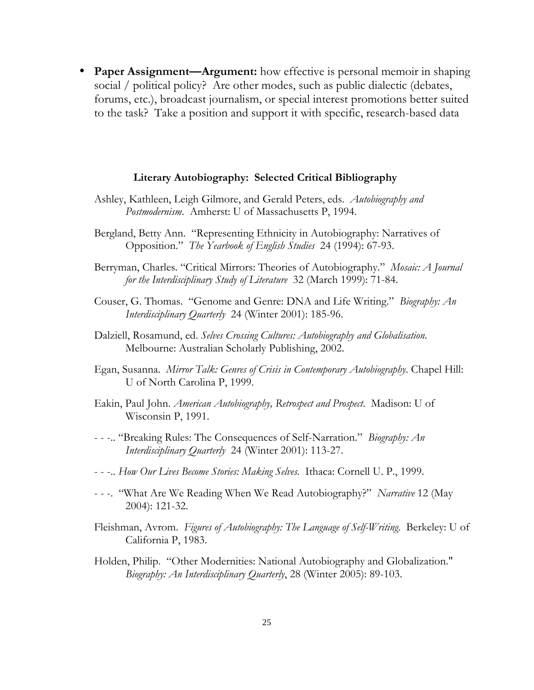• Paper Assignment—Argument: how effective is personal memoir in shaping social / political policy? Are other modes, such as public dialectic (debates, forums, etc.), broadcast journalism, or special interest promotions better suited to the task? Take a position and support it with specific, research-based data

#### Literary Autobiography: Selected Critical Bibliography

- Ashley, Kathleen, Leigh Gilmore, and Gerald Peters, eds. Autobiography and Postmodernism. Amherst: U of Massachusetts P, 1994.
- Bergland, Betty Ann. "Representing Ethnicity in Autobiography: Narratives of Opposition." The Yearbook of English Studies 24 (1994): 67-93.
- Berryman, Charles. "Critical Mirrors: Theories of Autobiography." Mosaic: A Journal for the Interdisciplinary Study of Literature 32 (March 1999): 71-84.
- Couser, G. Thomas. "Genome and Genre: DNA and Life Writing." Biography: An Interdisciplinary Quarterly 24 (Winter 2001): 185-96.
- Dalziell, Rosamund, ed. Selves Crossing Cultures: Autobiography and Globalisation. Melbourne: Australian Scholarly Publishing, 2002.
- Egan, Susanna. *Mirror Talk: Genres of Crisis in Contemporary Autobiography*. Chapel Hill: U of North Carolina P, 1999.
- Eakin, Paul John. American Autobiography, Retrospect and Prospect. Madison: U of Wisconsin P, 1991.
- - -.. "Breaking Rules: The Consequences of Self-Narration." Biography: An Interdisciplinary Quarterly 24 (Winter 2001): 113-27.
- - -.. How Our Lives Become Stories: Making Selves. Ithaca: Cornell U. P., 1999.
- - -. "What Are We Reading When We Read Autobiography?" Narrative 12 (May 2004): 121-32.
- Fleishman, Avrom. Figures of Autobiography: The Language of Self-Writing. Berkeley: U of California P, 1983.
- Holden, Philip. "Other Modernities: National Autobiography and Globalization." Biography: An Interdisciplinary Quarterly, 28 (Winter 2005): 89-103.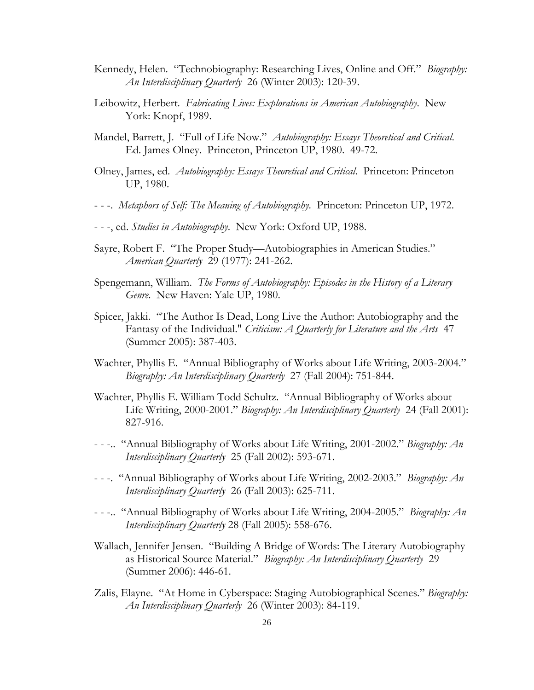- Kennedy, Helen. "Technobiography: Researching Lives, Online and Off." Biography: An Interdisciplinary Quarterly 26 (Winter 2003): 120-39.
- Leibowitz, Herbert. Fabricating Lives: Explorations in American Autobiography. New York: Knopf, 1989.
- Mandel, Barrett, J. "Full of Life Now." Autobiography: Essays Theoretical and Critical. Ed. James Olney. Princeton, Princeton UP, 1980. 49-72.
- Olney, James, ed. Autobiography: Essays Theoretical and Critical. Princeton: Princeton UP, 1980.
- - -. Metaphors of Self: The Meaning of Autobiography. Princeton: Princeton UP, 1972.
- - -, ed. Studies in Autobiography. New York: Oxford UP, 1988.
- Sayre, Robert F. "The Proper Study—Autobiographies in American Studies." American Quarterly 29 (1977): 241-262.
- Spengemann, William. The Forms of Autobiography: Episodes in the History of a Literary Genre. New Haven: Yale UP, 1980.
- Spicer, Jakki. "The Author Is Dead, Long Live the Author: Autobiography and the Fantasy of the Individual." Criticism: A Quarterly for Literature and the Arts 47 (Summer 2005): 387-403.
- Wachter, Phyllis E. "Annual Bibliography of Works about Life Writing, 2003-2004." Biography: An Interdisciplinary Quarterly 27 (Fall 2004): 751-844.
- Wachter, Phyllis E. William Todd Schultz. "Annual Bibliography of Works about Life Writing, 2000-2001." Biography: An Interdisciplinary Quarterly 24 (Fall 2001): 827-916.
- - -.. "Annual Bibliography of Works about Life Writing, 2001-2002." Biography: An Interdisciplinary Quarterly 25 (Fall 2002): 593-671.
- - -. "Annual Bibliography of Works about Life Writing, 2002-2003." Biography: An Interdisciplinary Quarterly 26 (Fall 2003): 625-711.
- - -.. "Annual Bibliography of Works about Life Writing, 2004-2005." Biography: An Interdisciplinary Quarterly 28 (Fall 2005): 558-676.
- Wallach, Jennifer Jensen. "Building A Bridge of Words: The Literary Autobiography as Historical Source Material." Biography: An Interdisciplinary Quarterly 29 (Summer 2006): 446-61.
- Zalis, Elayne. "At Home in Cyberspace: Staging Autobiographical Scenes." Biography: An Interdisciplinary Quarterly 26 (Winter 2003): 84-119.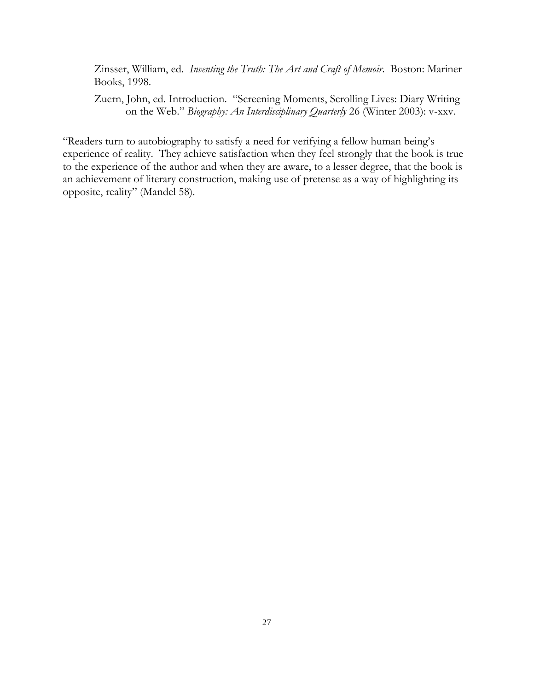Zinsser, William, ed. Inventing the Truth: The Art and Craft of Memoir. Boston: Mariner Books, 1998.

Zuern, John, ed. Introduction. "Screening Moments, Scrolling Lives: Diary Writing on the Web." Biography: An Interdisciplinary Quarterly 26 (Winter 2003): v-xxv.

"Readers turn to autobiography to satisfy a need for verifying a fellow human being's experience of reality. They achieve satisfaction when they feel strongly that the book is true to the experience of the author and when they are aware, to a lesser degree, that the book is an achievement of literary construction, making use of pretense as a way of highlighting its opposite, reality" (Mandel 58).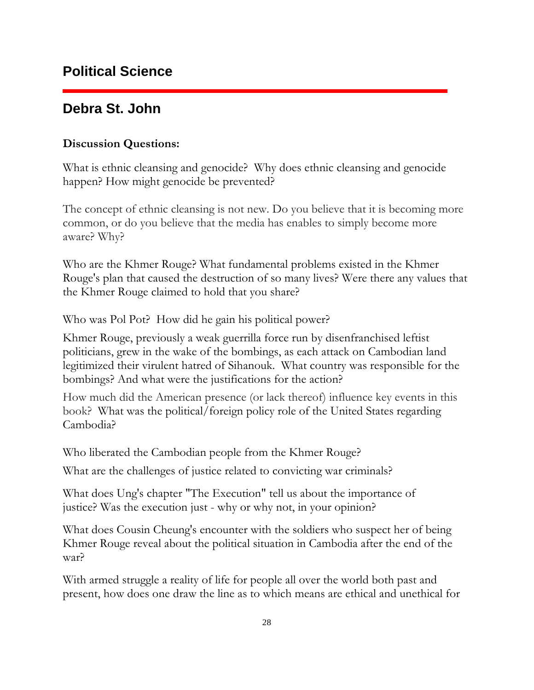## **Debra St. John**

#### Discussion Questions:

What is ethnic cleansing and genocide? Why does ethnic cleansing and genocide happen? How might genocide be prevented?

The concept of ethnic cleansing is not new. Do you believe that it is becoming more common, or do you believe that the media has enables to simply become more aware? Why?

Who are the Khmer Rouge? What fundamental problems existed in the Khmer Rouge's plan that caused the destruction of so many lives? Were there any values that the Khmer Rouge claimed to hold that you share?

Who was Pol Pot? How did he gain his political power?

Khmer Rouge, previously a weak guerrilla force run by disenfranchised leftist politicians, grew in the wake of the bombings, as each attack on Cambodian land legitimized their virulent hatred of Sihanouk. What country was responsible for the bombings? And what were the justifications for the action?

How much did the American presence (or lack thereof) influence key events in this book? What was the political/foreign policy role of the United States regarding Cambodia?

Who liberated the Cambodian people from the Khmer Rouge?

What are the challenges of justice related to convicting war criminals?

What does Ung's chapter "The Execution" tell us about the importance of justice? Was the execution just - why or why not, in your opinion?

What does Cousin Cheung's encounter with the soldiers who suspect her of being Khmer Rouge reveal about the political situation in Cambodia after the end of the war?

With armed struggle a reality of life for people all over the world both past and present, how does one draw the line as to which means are ethical and unethical for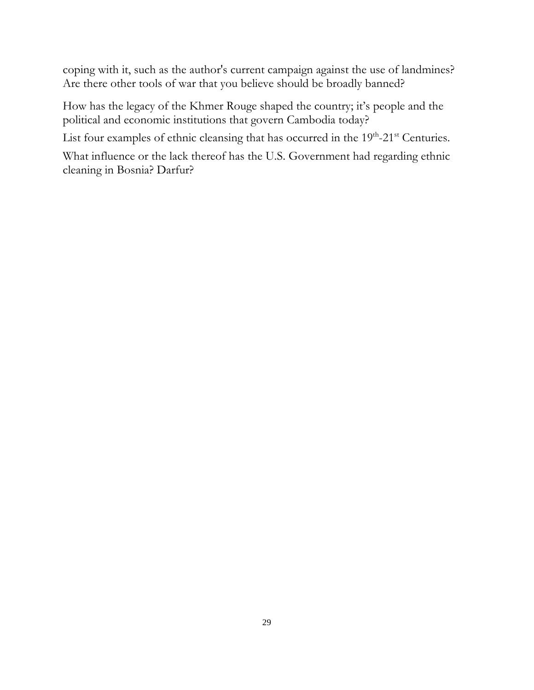coping with it, such as the author's current campaign against the use of landmines? Are there other tools of war that you believe should be broadly banned?

How has the legacy of the Khmer Rouge shaped the country; it's people and the political and economic institutions that govern Cambodia today?

List four examples of ethnic cleansing that has occurred in the  $19<sup>th</sup>$ -21<sup>st</sup> Centuries.

What influence or the lack thereof has the U.S. Government had regarding ethnic cleaning in Bosnia? Darfur?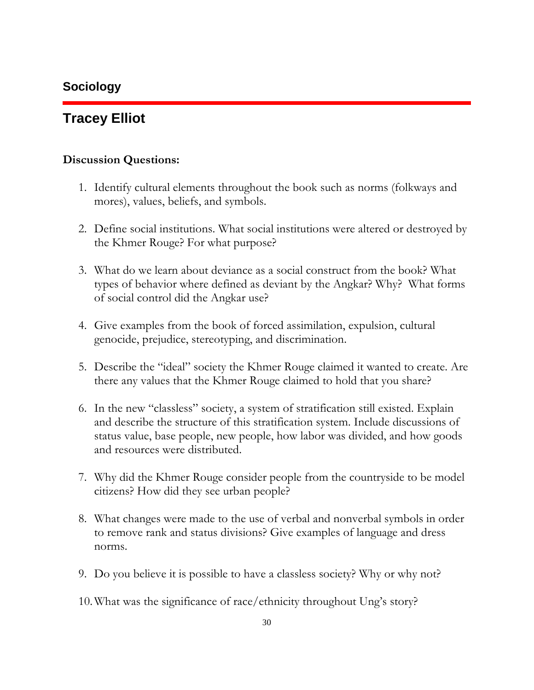### **Sociology**

## **Tracey Elliot**

#### Discussion Questions:

- 1. Identify cultural elements throughout the book such as norms (folkways and mores), values, beliefs, and symbols.
- 2. Define social institutions. What social institutions were altered or destroyed by the Khmer Rouge? For what purpose?
- 3. What do we learn about deviance as a social construct from the book? What types of behavior where defined as deviant by the Angkar? Why? What forms of social control did the Angkar use?
- 4. Give examples from the book of forced assimilation, expulsion, cultural genocide, prejudice, stereotyping, and discrimination.
- 5. Describe the "ideal" society the Khmer Rouge claimed it wanted to create. Are there any values that the Khmer Rouge claimed to hold that you share?
- 6. In the new "classless" society, a system of stratification still existed. Explain and describe the structure of this stratification system. Include discussions of status value, base people, new people, how labor was divided, and how goods and resources were distributed.
- 7. Why did the Khmer Rouge consider people from the countryside to be model citizens? How did they see urban people?
- 8. What changes were made to the use of verbal and nonverbal symbols in order to remove rank and status divisions? Give examples of language and dress norms.
- 9. Do you believe it is possible to have a classless society? Why or why not?
- 10.What was the significance of race/ethnicity throughout Ung's story?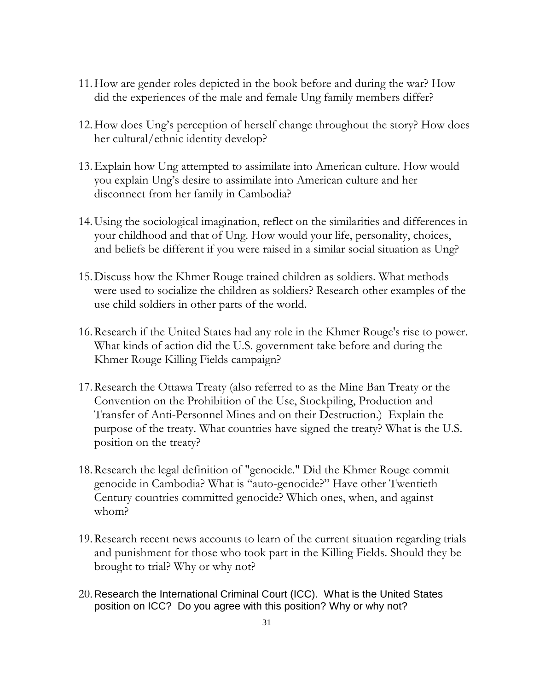- 11.How are gender roles depicted in the book before and during the war? How did the experiences of the male and female Ung family members differ?
- 12.How does Ung's perception of herself change throughout the story? How does her cultural/ethnic identity develop?
- 13.Explain how Ung attempted to assimilate into American culture. How would you explain Ung's desire to assimilate into American culture and her disconnect from her family in Cambodia?
- 14.Using the sociological imagination, reflect on the similarities and differences in your childhood and that of Ung. How would your life, personality, choices, and beliefs be different if you were raised in a similar social situation as Ung?
- 15.Discuss how the Khmer Rouge trained children as soldiers. What methods were used to socialize the children as soldiers? Research other examples of the use child soldiers in other parts of the world.
- 16.Research if the United States had any role in the Khmer Rouge's rise to power. What kinds of action did the U.S. government take before and during the Khmer Rouge Killing Fields campaign?
- 17.Research the Ottawa Treaty (also referred to as the Mine Ban Treaty or the Convention on the Prohibition of the Use, Stockpiling, Production and Transfer of Anti-Personnel Mines and on their Destruction.) Explain the purpose of the treaty. What countries have signed the treaty? What is the U.S. position on the treaty?
- 18.Research the legal definition of "genocide." Did the Khmer Rouge commit genocide in Cambodia? What is "auto-genocide?" Have other Twentieth Century countries committed genocide? Which ones, when, and against whom?
- 19.Research recent news accounts to learn of the current situation regarding trials and punishment for those who took part in the Killing Fields. Should they be brought to trial? Why or why not?
- 20.Research the International Criminal Court (ICC). What is the United States position on ICC? Do you agree with this position? Why or why not?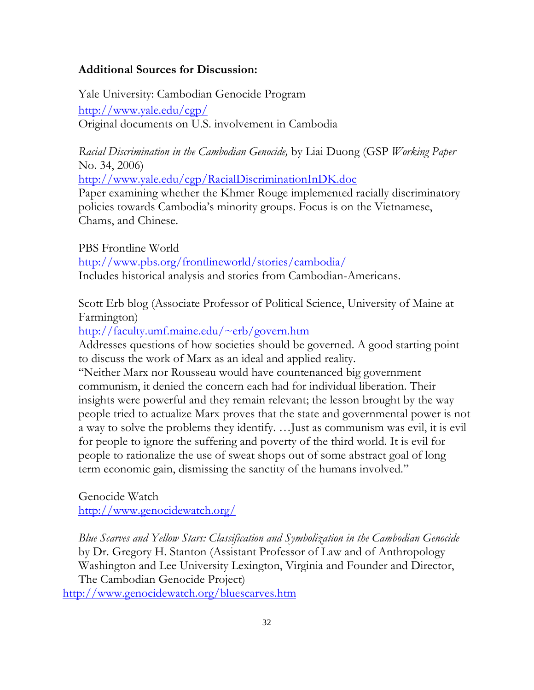#### Additional Sources for Discussion:

Yale University: Cambodian Genocide Program http://www.yale.edu/cgp/ Original documents on U.S. involvement in Cambodia

Racial Discrimination in the Cambodian Genocide, by Liai Duong (GSP Working Paper No. 34, 2006)

http://www.yale.edu/cgp/RacialDiscriminationInDK.doc

Paper examining whether the Khmer Rouge implemented racially discriminatory policies towards Cambodia's minority groups. Focus is on the Vietnamese, Chams, and Chinese.

PBS Frontline World http://www.pbs.org/frontlineworld/stories/cambodia/ Includes historical analysis and stories from Cambodian-Americans.

Scott Erb blog (Associate Professor of Political Science, University of Maine at Farmington)

http://faculty.umf.maine.edu/~erb/govern.htm

Addresses questions of how societies should be governed. A good starting point to discuss the work of Marx as an ideal and applied reality.

"Neither Marx nor Rousseau would have countenanced big government communism, it denied the concern each had for individual liberation. Their insights were powerful and they remain relevant; the lesson brought by the way people tried to actualize Marx proves that the state and governmental power is not a way to solve the problems they identify. …Just as communism was evil, it is evil for people to ignore the suffering and poverty of the third world. It is evil for people to rationalize the use of sweat shops out of some abstract goal of long term economic gain, dismissing the sanctity of the humans involved."

Genocide Watch http://www.genocidewatch.org/

Blue Scarves and Yellow Stars: Classification and Symbolization in the Cambodian Genocide by Dr. Gregory H. Stanton (Assistant Professor of Law and of Anthropology Washington and Lee University Lexington, Virginia and Founder and Director, The Cambodian Genocide Project)

http://www.genocidewatch.org/bluescarves.htm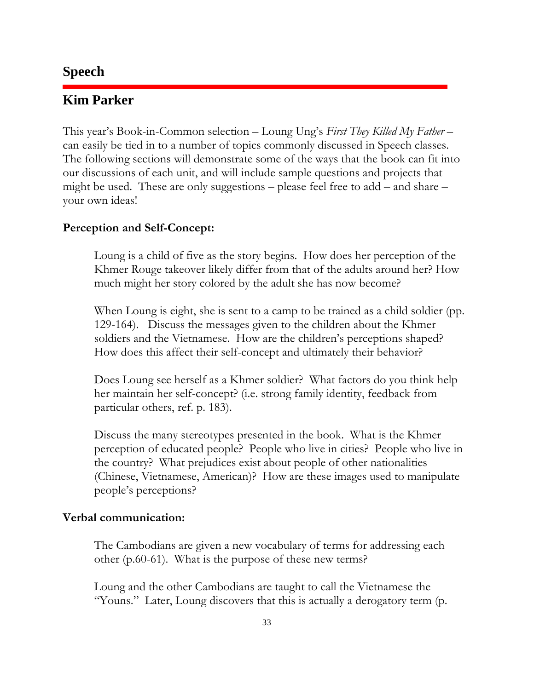### **Speech**

### **Kim Parker**

This year's Book-in-Common selection – Loung Ung's First They Killed My Father – can easily be tied in to a number of topics commonly discussed in Speech classes. The following sections will demonstrate some of the ways that the book can fit into our discussions of each unit, and will include sample questions and projects that might be used. These are only suggestions – please feel free to add – and share – your own ideas!

#### Perception and Self-Concept:

Loung is a child of five as the story begins. How does her perception of the Khmer Rouge takeover likely differ from that of the adults around her? How much might her story colored by the adult she has now become?

When Loung is eight, she is sent to a camp to be trained as a child soldier (pp. 129-164). Discuss the messages given to the children about the Khmer soldiers and the Vietnamese. How are the children's perceptions shaped? How does this affect their self-concept and ultimately their behavior?

Does Loung see herself as a Khmer soldier? What factors do you think help her maintain her self-concept? (i.e. strong family identity, feedback from particular others, ref. p. 183).

Discuss the many stereotypes presented in the book. What is the Khmer perception of educated people? People who live in cities? People who live in the country? What prejudices exist about people of other nationalities (Chinese, Vietnamese, American)? How are these images used to manipulate people's perceptions?

#### Verbal communication:

The Cambodians are given a new vocabulary of terms for addressing each other (p.60-61). What is the purpose of these new terms?

Loung and the other Cambodians are taught to call the Vietnamese the "Youns." Later, Loung discovers that this is actually a derogatory term (p.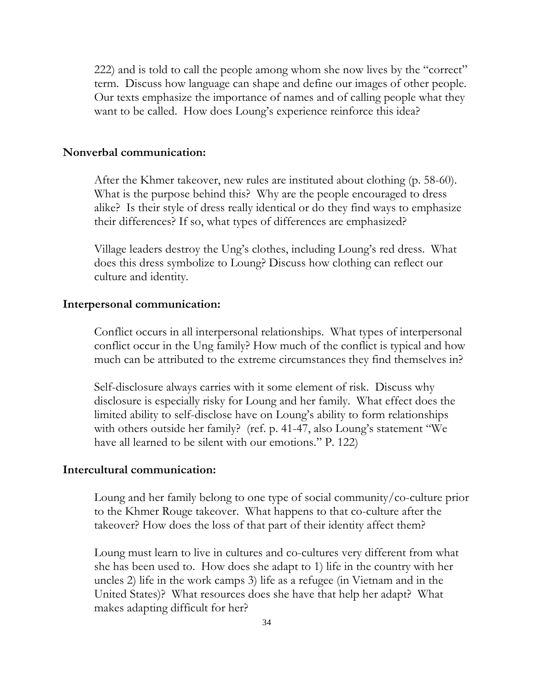222) and is told to call the people among whom she now lives by the "correct" term. Discuss how language can shape and define our images of other people. Our texts emphasize the importance of names and of calling people what they want to be called. How does Loung's experience reinforce this idea?

#### Nonverbal communication:

After the Khmer takeover, new rules are instituted about clothing (p. 58-60). What is the purpose behind this? Why are the people encouraged to dress alike? Is their style of dress really identical or do they find ways to emphasize their differences? If so, what types of differences are emphasized?

Village leaders destroy the Ung's clothes, including Loung's red dress. What does this dress symbolize to Loung? Discuss how clothing can reflect our culture and identity.

#### Interpersonal communication:

Conflict occurs in all interpersonal relationships. What types of interpersonal conflict occur in the Ung family? How much of the conflict is typical and how much can be attributed to the extreme circumstances they find themselves in?

Self-disclosure always carries with it some element of risk. Discuss why disclosure is especially risky for Loung and her family. What effect does the limited ability to self-disclose have on Loung's ability to form relationships with others outside her family? (ref. p. 41-47, also Loung's statement "We have all learned to be silent with our emotions." P. 122)

#### Intercultural communication:

Loung and her family belong to one type of social community/co-culture prior to the Khmer Rouge takeover. What happens to that co-culture after the takeover? How does the loss of that part of their identity affect them?

Loung must learn to live in cultures and co-cultures very different from what she has been used to. How does she adapt to 1) life in the country with her uncles 2) life in the work camps 3) life as a refugee (in Vietnam and in the United States)? What resources does she have that help her adapt? What makes adapting difficult for her?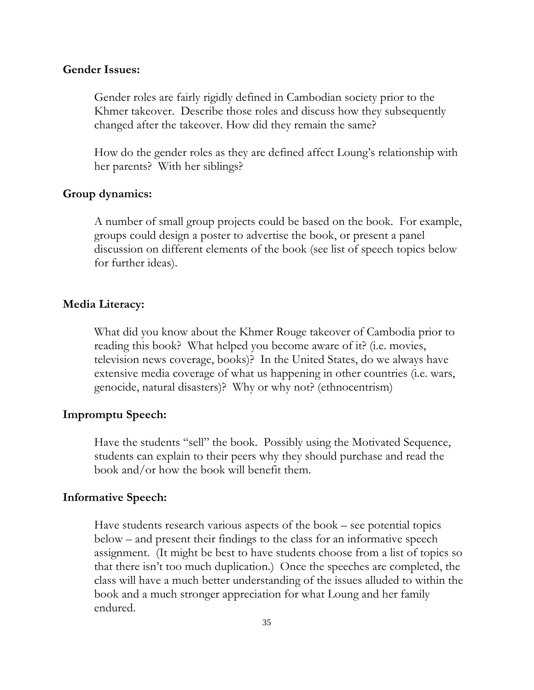#### Gender Issues:

Gender roles are fairly rigidly defined in Cambodian society prior to the Khmer takeover. Describe those roles and discuss how they subsequently changed after the takeover. How did they remain the same?

How do the gender roles as they are defined affect Loung's relationship with her parents? With her siblings?

#### Group dynamics:

A number of small group projects could be based on the book. For example, groups could design a poster to advertise the book, or present a panel discussion on different elements of the book (see list of speech topics below for further ideas).

#### Media Literacy:

What did you know about the Khmer Rouge takeover of Cambodia prior to reading this book? What helped you become aware of it? (i.e. movies, television news coverage, books)? In the United States, do we always have extensive media coverage of what us happening in other countries (i.e. wars, genocide, natural disasters)? Why or why not? (ethnocentrism)

#### Impromptu Speech:

Have the students "sell" the book. Possibly using the Motivated Sequence, students can explain to their peers why they should purchase and read the book and/or how the book will benefit them.

#### Informative Speech:

Have students research various aspects of the book – see potential topics below – and present their findings to the class for an informative speech assignment. (It might be best to have students choose from a list of topics so that there isn't too much duplication.) Once the speeches are completed, the class will have a much better understanding of the issues alluded to within the book and a much stronger appreciation for what Loung and her family endured.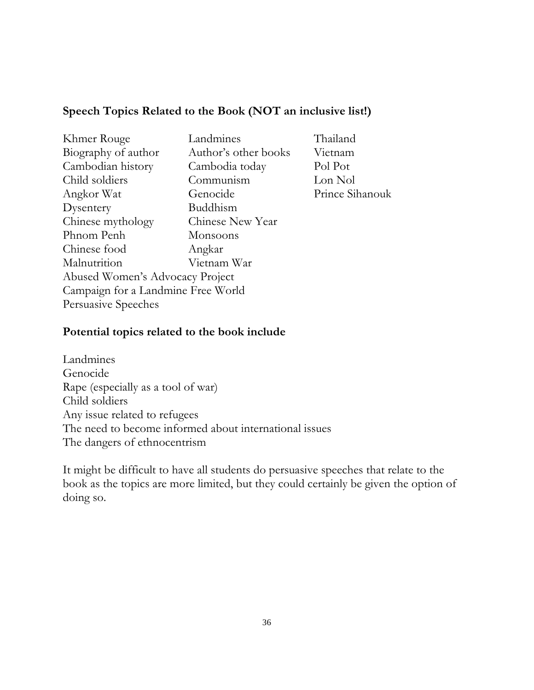### Speech Topics Related to the Book (NOT an inclusive list!)

| Khmer Rouge                        | Landmines            | Thailand        |  |
|------------------------------------|----------------------|-----------------|--|
| Biography of author                | Author's other books | Vietnam         |  |
| Cambodian history                  | Cambodia today       | Pol Pot         |  |
| Child soldiers                     | Communism            | Lon Nol         |  |
| Angkor Wat                         | Genocide             | Prince Sihanouk |  |
| Dysentery                          | Buddhism             |                 |  |
| Chinese mythology                  | Chinese New Year     |                 |  |
| Phnom Penh                         | Monsoons             |                 |  |
| Chinese food                       | Angkar               |                 |  |
| Malnutrition                       | Vietnam War          |                 |  |
| Abused Women's Advocacy Project    |                      |                 |  |
| Campaign for a Landmine Free World |                      |                 |  |
| Persuasive Speeches                |                      |                 |  |

#### Potential topics related to the book include

Landmines Genocide Rape (especially as a tool of war) Child soldiers Any issue related to refugees The need to become informed about international issues The dangers of ethnocentrism

It might be difficult to have all students do persuasive speeches that relate to the book as the topics are more limited, but they could certainly be given the option of doing so.